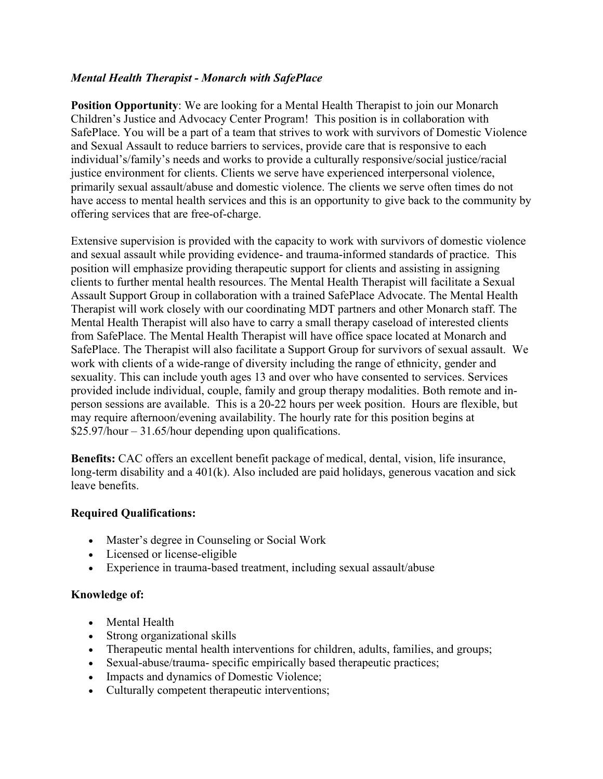## *Mental Health Therapist - Monarch with SafePlace*

**Position Opportunity**: We are looking for a Mental Health Therapist to join our Monarch Children's Justice and Advocacy Center Program! This position is in collaboration with SafePlace. You will be a part of a team that strives to work with survivors of Domestic Violence and Sexual Assault to reduce barriers to services, provide care that is responsive to each individual's/family's needs and works to provide a culturally responsive/social justice/racial justice environment for clients. Clients we serve have experienced interpersonal violence, primarily sexual assault/abuse and domestic violence. The clients we serve often times do not have access to mental health services and this is an opportunity to give back to the community by offering services that are free-of-charge.

Extensive supervision is provided with the capacity to work with survivors of domestic violence and sexual assault while providing evidence- and trauma-informed standards of practice. This position will emphasize providing therapeutic support for clients and assisting in assigning clients to further mental health resources. The Mental Health Therapist will facilitate a Sexual Assault Support Group in collaboration with a trained SafePlace Advocate. The Mental Health Therapist will work closely with our coordinating MDT partners and other Monarch staff. The Mental Health Therapist will also have to carry a small therapy caseload of interested clients from SafePlace. The Mental Health Therapist will have office space located at Monarch and SafePlace. The Therapist will also facilitate a Support Group for survivors of sexual assault. We work with clients of a wide-range of diversity including the range of ethnicity, gender and sexuality. This can include youth ages 13 and over who have consented to services. Services provided include individual, couple, family and group therapy modalities. Both remote and inperson sessions are available. This is a 20-22 hours per week position. Hours are flexible, but may require afternoon/evening availability. The hourly rate for this position begins at \$25.97/hour – 31.65/hour depending upon qualifications.

**Benefits:** CAC offers an excellent benefit package of medical, dental, vision, life insurance, long-term disability and a 401(k). Also included are paid holidays, generous vacation and sick leave benefits.

## **Required Qualifications:**

- Master's degree in Counseling or Social Work
- Licensed or license-eligible
- Experience in trauma-based treatment, including sexual assault/abuse

## **Knowledge of:**

- Mental Health
- Strong organizational skills
- Therapeutic mental health interventions for children, adults, families, and groups;
- Sexual-abuse/trauma- specific empirically based therapeutic practices;
- Impacts and dynamics of Domestic Violence;
- Culturally competent therapeutic interventions;